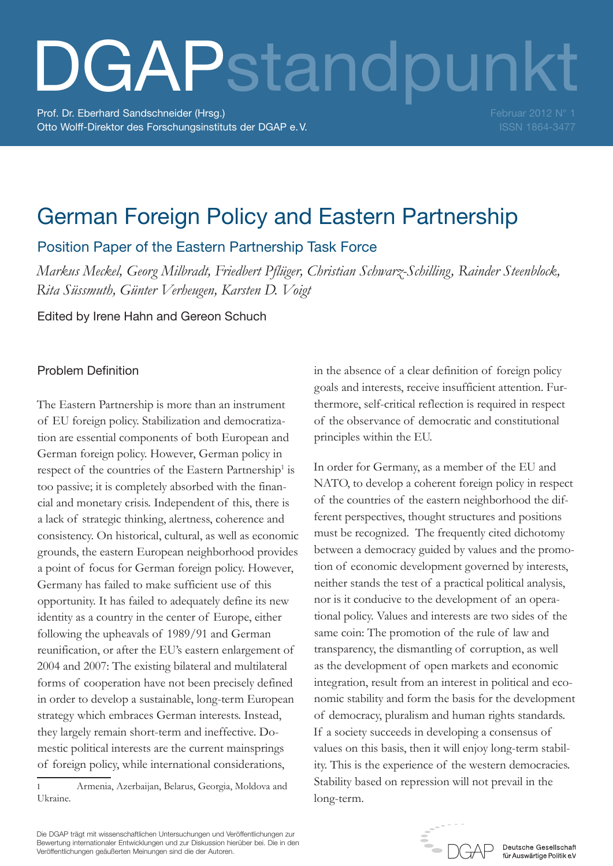# DGAPstandpunkt

Prof. Dr. Eberhard Sandschneider (Hrsg.) Otto Wolff-Direktor des Forschungsinstituts der DGAP e.V. Februar 2012 N° 1 ISSN 1864-3477

# German Foreign Policy and Eastern Partnership

Position Paper of the Eastern Partnership Task Force

*Markus Meckel, Georg Milbradt, Friedbert Pflüger, Christian Schwarz-Schilling, Rainder Steenblock, Rita Süssmuth, Günter Verheugen, Karsten D. Voigt*

Edited by Irene Hahn and Gereon Schuch

## Problem Definition

The Eastern Partnership is more than an instrument of EU foreign policy. Stabilization and democratization are essential components of both European and German foreign policy. However, German policy in respect of the countries of the Eastern Partnership<sup>1</sup> is too passive; it is completely absorbed with the financial and monetary crisis. Independent of this, there is a lack of strategic thinking, alertness, coherence and consistency. On historical, cultural, as well as economic grounds, the eastern European neighborhood provides a point of focus for German foreign policy. However, Germany has failed to make sufficient use of this opportunity. It has failed to adequately define its new identity as a country in the center of Europe, either following the upheavals of 1989/91 and German reunification, or after the EU's eastern enlargement of 2004 and 2007: The existing bilateral and multilateral forms of cooperation have not been precisely defined in order to develop a sustainable, long-term European strategy which embraces German interests. Instead, they largely remain short-term and ineffective. Domestic political interests are the current mainsprings of foreign policy, while international considerations,

in the absence of a clear definition of foreign policy goals and interests, receive insufficient attention. Furthermore, self-critical reflection is required in respect of the observance of democratic and constitutional principles within the EU.

In order for Germany, as a member of the EU and NATO, to develop a coherent foreign policy in respect of the countries of the eastern neighborhood the different perspectives, thought structures and positions must be recognized. The frequently cited dichotomy between a democracy guided by values and the promotion of economic development governed by interests, neither stands the test of a practical political analysis, nor is it conducive to the development of an operational policy. Values and interests are two sides of the same coin: The promotion of the rule of law and transparency, the dismantling of corruption, as well as the development of open markets and economic integration, result from an interest in political and economic stability and form the basis for the development of democracy, pluralism and human rights standards. If a society succeeds in developing a consensus of values on this basis, then it will enjoy long-term stability. This is the experience of the western democracies. Stability based on repression will not prevail in the long-term.



Deutsche Gesellschaft für Auswärtige Politik e.V

Die DGAP trägt mit wissenschaftlichen Untersuchungen und Veröffentlichungen zur Bewertung internationaler Entwicklungen und zur Diskussion hierüber bei. Die in den Veröffentlichungen geäußerten Meinungen sind die der Autoren.

<sup>1</sup> Armenia, Azerbaijan, Belarus, Georgia, Moldova and Ukraine.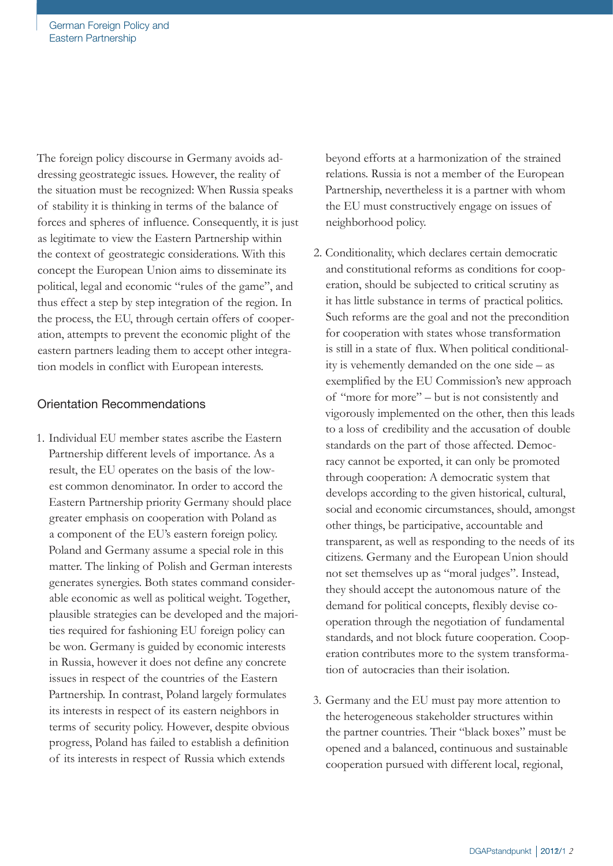The foreign policy discourse in Germany avoids addressing geostrategic issues. However, the reality of the situation must be recognized: When Russia speaks of stability it is thinking in terms of the balance of forces and spheres of influence. Consequently, it is just as legitimate to view the Eastern Partnership within the context of geostrategic considerations. With this concept the European Union aims to disseminate its political, legal and economic "rules of the game", and thus effect a step by step integration of the region. In the process, the EU, through certain offers of cooperation, attempts to prevent the economic plight of the eastern partners leading them to accept other integration models in conflict with European interests.

### Orientation Recommendations

1. Individual EU member states ascribe the Eastern Partnership different levels of importance. As a result, the EU operates on the basis of the lowest common denominator. In order to accord the Eastern Partnership priority Germany should place greater emphasis on cooperation with Poland as a component of the EU's eastern foreign policy. Poland and Germany assume a special role in this matter. The linking of Polish and German interests generates synergies. Both states command considerable economic as well as political weight. Together, plausible strategies can be developed and the majorities required for fashioning EU foreign policy can be won. Germany is guided by economic interests in Russia, however it does not define any concrete issues in respect of the countries of the Eastern Partnership. In contrast, Poland largely formulates its interests in respect of its eastern neighbors in terms of security policy. However, despite obvious progress, Poland has failed to establish a definition of its interests in respect of Russia which extends

beyond efforts at a harmonization of the strained relations. Russia is not a member of the European Partnership, nevertheless it is a partner with whom the EU must constructively engage on issues of neighborhood policy.

- 2. Conditionality, which declares certain democratic and constitutional reforms as conditions for cooperation, should be subjected to critical scrutiny as it has little substance in terms of practical politics. Such reforms are the goal and not the precondition for cooperation with states whose transformation is still in a state of flux. When political conditionality is vehemently demanded on the one side – as exemplified by the EU Commission's new approach of "more for more" – but is not consistently and vigorously implemented on the other, then this leads to a loss of credibility and the accusation of double standards on the part of those affected. Democracy cannot be exported, it can only be promoted through cooperation: A democratic system that develops according to the given historical, cultural, social and economic circumstances, should, amongst other things, be participative, accountable and transparent, as well as responding to the needs of its citizens. Germany and the European Union should not set themselves up as "moral judges". Instead, they should accept the autonomous nature of the demand for political concepts, flexibly devise cooperation through the negotiation of fundamental standards, and not block future cooperation. Cooperation contributes more to the system transformation of autocracies than their isolation.
- 3. Germany and the EU must pay more attention to the heterogeneous stakeholder structures within the partner countries. Their "black boxes" must be opened and a balanced, continuous and sustainable cooperation pursued with different local, regional,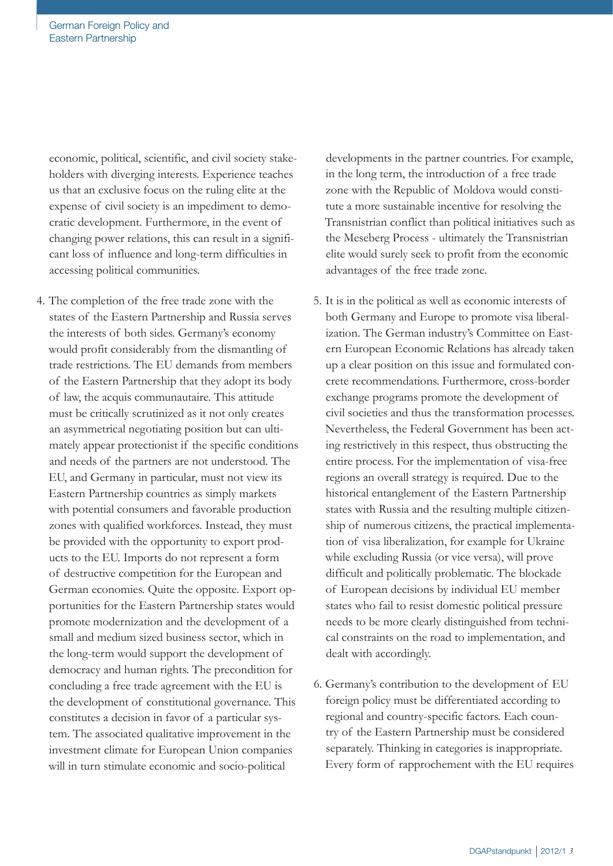economic, political, scientific, and civil society stakeholders with diverging interests. Experience teaches us that an exclusive focus on the ruling elite at the expense of civil society is an impediment to democratic development. Furthermore, in the event of changing power relations, this can result in a significant loss of influence and long-term difficulties in accessing political communities.

4. The completion of the free trade zone with the states of the Eastern Partnership and Russia serves the interests of both sides. Germany's economy would profit considerably from the dismantling of trade restrictions. The EU demands from members of the Eastern Partnership that they adopt its body of law, the acquis communautaire. This attitude must be critically scrutinized as it not only creates an asymmetrical negotiating position but can ultimately appear protectionist if the specific conditions and needs of the partners are not understood. The EU, and Germany in particular, must not view its Eastern Partnership countries as simply markets with potential consumers and favorable production zones with qualified workforces. Instead, they must be provided with the opportunity to export products to the EU. Imports do not represent a form of destructive competition for the European and German economies. Quite the opposite. Export opportunities for the Eastern Partnership states would promote modernization and the development of a small and medium sized business sector, which in the long-term would support the development of democracy and human rights. The precondition for concluding a free trade agreement with the EU is the development of constitutional governance. This constitutes a decision in favor of a particular system. The associated qualitative improvement in the investment climate for European Union companies will in turn stimulate economic and socio-political

developments in the partner countries. For example, in the long term, the introduction of a free trade zone with the Republic of Moldova would constitute a more sustainable incentive for resolving the Transnistrian conflict than political initiatives such as the Meseberg Process - ultimately the Transnistrian elite would surely seek to profit from the economic advantages of the free trade zone.

- 5. It is in the political as well as economic interests of both Germany and Europe to promote visa liberalization. The German industry's Committee on Eastern European Economic Relations has already taken up a clear position on this issue and formulated concrete recommendations. Furthermore, cross-border exchange programs promote the development of civil societies and thus the transformation processes. Nevertheless, the Federal Government has been acting restrictively in this respect, thus obstructing the entire process. For the implementation of visa-free regions an overall strategy is required. Due to the historical entanglement of the Eastern Partnership states with Russia and the resulting multiple citizenship of numerous citizens, the practical implementation of visa liberalization, for example for Ukraine while excluding Russia (or vice versa), will prove difficult and politically problematic. The blockade of European decisions by individual EU member states who fail to resist domestic political pressure needs to be more clearly distinguished from technical constraints on the road to implementation, and dealt with accordingly.
- 6. Germany's contribution to the development of EU foreign policy must be differentiated according to regional and country-specific factors. Each country of the Eastern Partnership must be considered separately. Thinking in categories is inappropriate. Every form of rapprochement with the EU requires